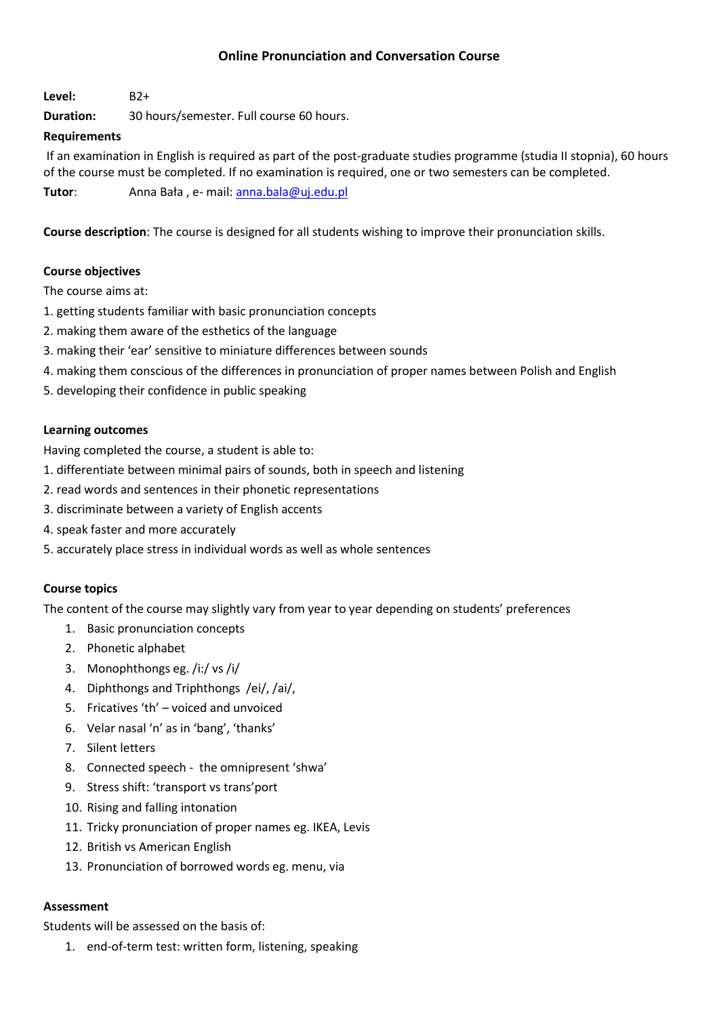# **Online Pronunciation and Conversation Course**

**Level:** B2+

**Duration:** 30 hours/semester. Full course 60 hours.

## **Requirements**

If an examination in English is required as part of the post-graduate studies programme (studia II stopnia), 60 hours of the course must be completed. If no examination is required, one or two semesters can be completed.

**Tutor**: Anna Bała , e- mail: [anna.bala@uj.edu.pl](mailto:anna.bala@uj.edu.pl)

**Course description**: The course is designed for all students wishing to improve their pronunciation skills.

# **Course objectives**

The course aims at:

- 1. getting students familiar with basic pronunciation concepts
- 2. making them aware of the esthetics of the language
- 3. making their 'ear' sensitive to miniature differences between sounds
- 4. making them conscious of the differences in pronunciation of proper names between Polish and English
- 5. developing their confidence in public speaking

### **Learning outcomes**

Having completed the course, a student is able to:

- 1. differentiate between minimal pairs of sounds, both in speech and listening
- 2. read words and sentences in their phonetic representations
- 3. discriminate between a variety of English accents
- 4. speak faster and more accurately
- 5. accurately place stress in individual words as well as whole sentences

### **Course topics**

The content of the course may slightly vary from year to year depending on students' preferences

- 1. Basic pronunciation concepts
- 2. Phonetic alphabet
- 3. Monophthongs eg. /i:/ vs /i/
- 4. Diphthongs and Triphthongs /ei/, /ai/,
- 5. Fricatives 'th' voiced and unvoiced
- 6. Velar nasal 'n' as in 'bang', 'thanks'
- 7. Silent letters
- 8. Connected speech the omnipresent 'shwa'
- 9. Stress shift: 'transport vs trans'port
- 10. Rising and falling intonation
- 11. Tricky pronunciation of proper names eg. IKEA, Levis
- 12. British vs American English
- 13. Pronunciation of borrowed words eg. menu, via

## **Assessment**

Students will be assessed on the basis of:

1. end-of-term test: written form, listening, speaking